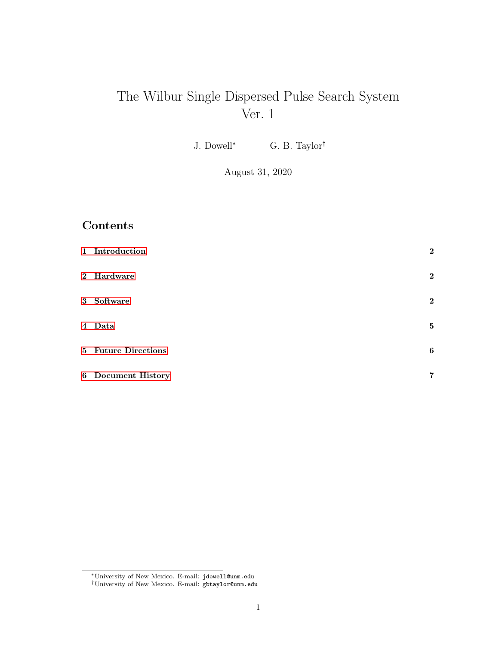# The Wilbur Single Dispersed Pulse Search System Ver. 1

J. Dowell<sup>∗</sup> G. B. Taylor†

August 31, 2020

## Contents

| 1 Introduction      | $\mathbf{2}$     |
|---------------------|------------------|
| 2 Hardware          | $\boldsymbol{2}$ |
| 3 Software          | $\boldsymbol{2}$ |
| 4 Data              | $\bf{5}$         |
| 5 Future Directions | 6                |
| 6 Document History  | $\overline{7}$   |

<sup>∗</sup>University of New Mexico. E-mail: jdowell@unm.edu

<sup>†</sup>University of New Mexico. E-mail: gbtaylor@unm.edu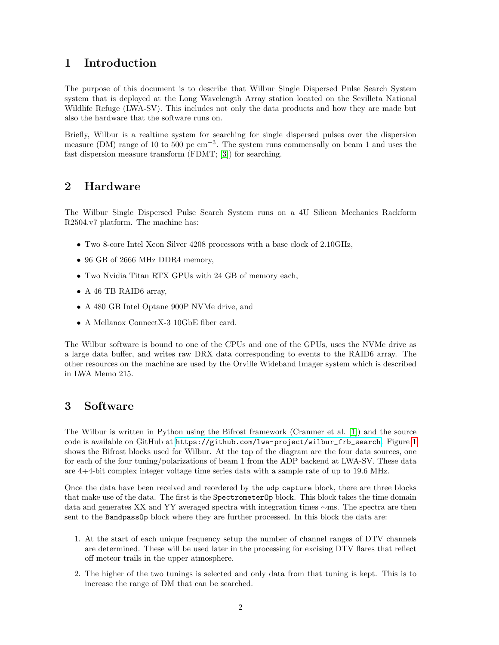#### <span id="page-1-0"></span>1 Introduction

The purpose of this document is to describe that Wilbur Single Dispersed Pulse Search System system that is deployed at the Long Wavelength Array station located on the Sevilleta National Wildlife Refuge (LWA-SV). This includes not only the data products and how they are made but also the hardware that the software runs on.

Briefly, Wilbur is a realtime system for searching for single dispersed pulses over the dispersion measure (DM) range of 10 to 500 pc  $\text{cm}^{-3}$ . The system runs commensally on beam 1 and uses the fast dispersion measure transform (FDMT; [\[3\]](#page-7-0)) for searching.

#### <span id="page-1-1"></span>2 Hardware

The Wilbur Single Dispersed Pulse Search System runs on a 4U Silicon Mechanics Rackform R2504.v7 platform. The machine has:

- Two 8-core Intel Xeon Silver 4208 processors with a base clock of 2.10GHz,
- 96 GB of 2666 MHz DDR4 memory,
- Two Nvidia Titan RTX GPUs with 24 GB of memory each,
- A 46 TB RAID6 array,
- A 480 GB Intel Optane 900P NVMe drive, and
- A Mellanox ConnectX-3 10GbE fiber card.

The Wilbur software is bound to one of the CPUs and one of the GPUs, uses the NVMe drive as a large data buffer, and writes raw DRX data corresponding to events to the RAID6 array. The other resources on the machine are used by the Orville Wideband Imager system which is described in LWA Memo 215.

#### <span id="page-1-2"></span>3 Software

The Wilbur is written in Python using the Bifrost framework (Cranmer et al. [\[1\]](#page-7-1)) and the source code is available on GitHub at [https://github.com/lwa-project/wilbur\\_frb\\_search](https://github.com/lwa-project/wilbur_frb_search). Figure [1](#page-2-0) shows the Bifrost blocks used for Wilbur. At the top of the diagram are the four data sources, one for each of the four tuning/polarizations of beam 1 from the ADP backend at LWA-SV. These data are 4+4-bit complex integer voltage time series data with a sample rate of up to 19.6 MHz.

Once the data have been received and reordered by the udp capture block, there are three blocks that make use of the data. The first is the SpectrometerOp block. This block takes the time domain data and generates XX and YY averaged spectra with integration times ∼ms. The spectra are then sent to the BandpassOp block where they are further processed. In this block the data are:

- 1. At the start of each unique frequency setup the number of channel ranges of DTV channels are determined. These will be used later in the processing for excising DTV flares that reflect off meteor trails in the upper atmosphere.
- 2. The higher of the two tunings is selected and only data from that tuning is kept. This is to increase the range of DM that can be searched.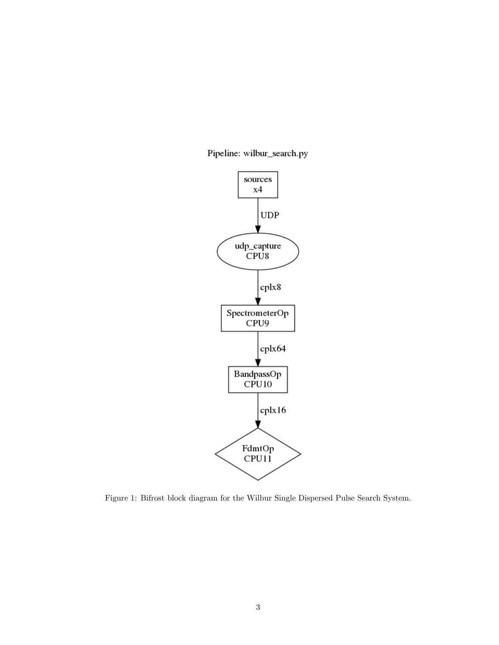Pipeline: wilbur\_search.py



<span id="page-2-0"></span>Figure 1: Bifrost block diagram for the Wilbur Single Dispersed Pulse Search System.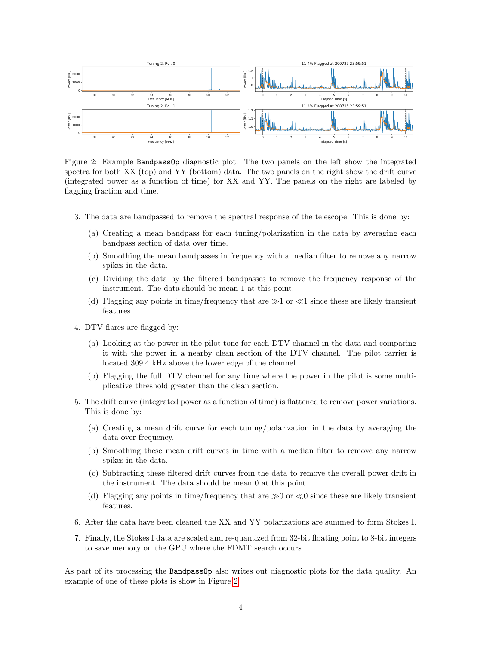

<span id="page-3-0"></span>Figure 2: Example BandpassOp diagnostic plot. The two panels on the left show the integrated spectra for both XX (top) and YY (bottom) data. The two panels on the right show the drift curve (integrated power as a function of time) for XX and YY. The panels on the right are labeled by flagging fraction and time.

- 3. The data are bandpassed to remove the spectral response of the telescope. This is done by:
	- (a) Creating a mean bandpass for each tuning/polarization in the data by averaging each bandpass section of data over time.
	- (b) Smoothing the mean bandpasses in frequency with a median filter to remove any narrow spikes in the data.
	- (c) Dividing the data by the filtered bandpasses to remove the frequency response of the instrument. The data should be mean 1 at this point.
	- (d) Flagging any points in time/frequency that are  $\gg$  1 or  $\ll$  1 since these are likely transient features.
- 4. DTV flares are flagged by:
	- (a) Looking at the power in the pilot tone for each DTV channel in the data and comparing it with the power in a nearby clean section of the DTV channel. The pilot carrier is located 309.4 kHz above the lower edge of the channel.
	- (b) Flagging the full DTV channel for any time where the power in the pilot is some multiplicative threshold greater than the clean section.
- 5. The drift curve (integrated power as a function of time) is flattened to remove power variations. This is done by:
	- (a) Creating a mean drift curve for each tuning/polarization in the data by averaging the data over frequency.
	- (b) Smoothing these mean drift curves in time with a median filter to remove any narrow spikes in the data.
	- (c) Subtracting these filtered drift curves from the data to remove the overall power drift in the instrument. The data should be mean 0 at this point.
	- (d) Flagging any points in time/frequency that are  $\gg 0$  or  $\ll 0$  since these are likely transient features.
- 6. After the data have been cleaned the XX and YY polarizations are summed to form Stokes I.
- 7. Finally, the Stokes I data are scaled and re-quantized from 32-bit floating point to 8-bit integers to save memory on the GPU where the FDMT search occurs.

As part of its processing the BandpassOp also writes out diagnostic plots for the data quality. An example of one of these plots is show in Figure [2](#page-3-0)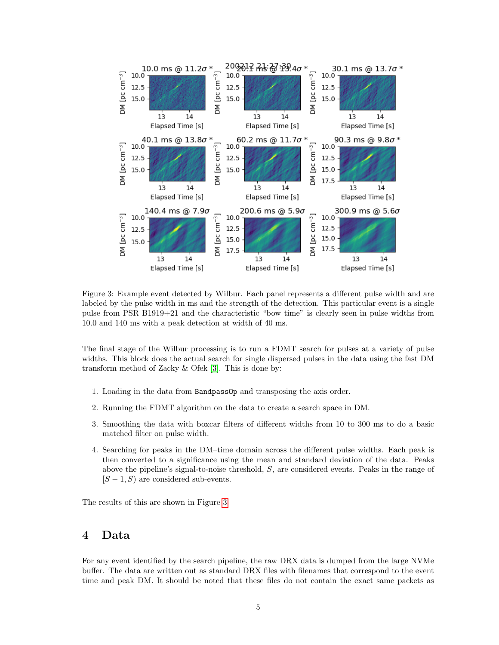

<span id="page-4-1"></span>Figure 3: Example event detected by Wilbur. Each panel represents a different pulse width and are labeled by the pulse width in ms and the strength of the detection. This particular event is a single pulse from PSR B1919+21 and the characteristic "bow time" is clearly seen in pulse widths from 10.0 and 140 ms with a peak detection at width of 40 ms.

The final stage of the Wilbur processing is to run a FDMT search for pulses at a variety of pulse widths. This block does the actual search for single dispersed pulses in the data using the fast DM transform method of Zacky & Ofek [\[3\]](#page-7-0). This is done by:

- 1. Loading in the data from BandpassOp and transposing the axis order.
- 2. Running the FDMT algorithm on the data to create a search space in DM.
- 3. Smoothing the data with boxcar filters of different widths from 10 to 300 ms to do a basic matched filter on pulse width.
- 4. Searching for peaks in the DM–time domain across the different pulse widths. Each peak is then converted to a significance using the mean and standard deviation of the data. Peaks above the pipeline's signal-to-noise threshold, S, are considered events. Peaks in the range of  $[S-1, S]$  are considered sub-events.

The results of this are shown in Figure [3.](#page-4-1)

#### <span id="page-4-0"></span>4 Data

For any event identified by the search pipeline, the raw DRX data is dumped from the large NVMe buffer. The data are written out as standard DRX files with filenames that correspond to the event time and peak DM. It should be noted that these files do not contain the exact same packets as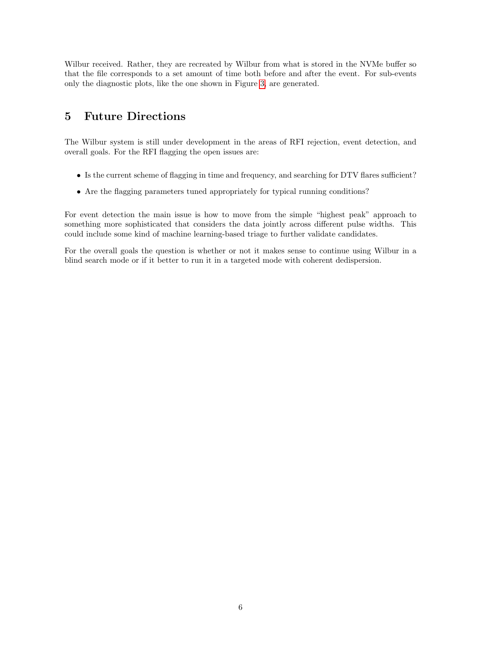Wilbur received. Rather, they are recreated by Wilbur from what is stored in the NVMe buffer so that the file corresponds to a set amount of time both before and after the event. For sub-events only the diagnostic plots, like the one shown in Figure [3,](#page-4-1) are generated.

### <span id="page-5-0"></span>5 Future Directions

The Wilbur system is still under development in the areas of RFI rejection, event detection, and overall goals. For the RFI flagging the open issues are:

- Is the current scheme of flagging in time and frequency, and searching for DTV flares sufficient?
- Are the flagging parameters tuned appropriately for typical running conditions?

For event detection the main issue is how to move from the simple "highest peak" approach to something more sophisticated that considers the data jointly across different pulse widths. This could include some kind of machine learning-based triage to further validate candidates.

For the overall goals the question is whether or not it makes sense to continue using Wilbur in a blind search mode or if it better to run it in a targeted mode with coherent dedispersion.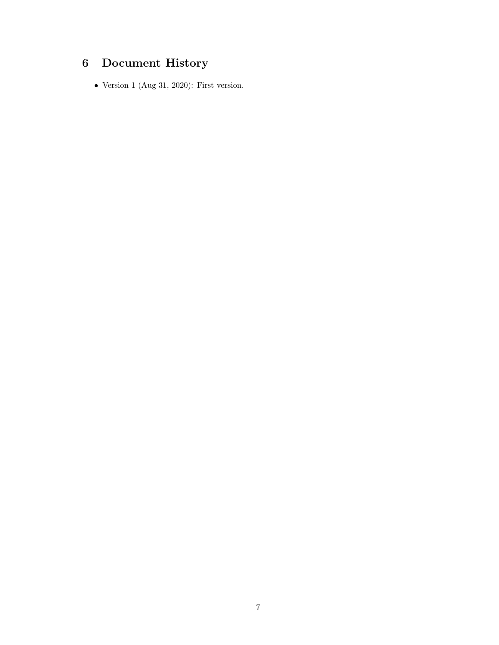# <span id="page-6-0"></span>6 Document History

• Version 1 (Aug 31, 2020): First version.